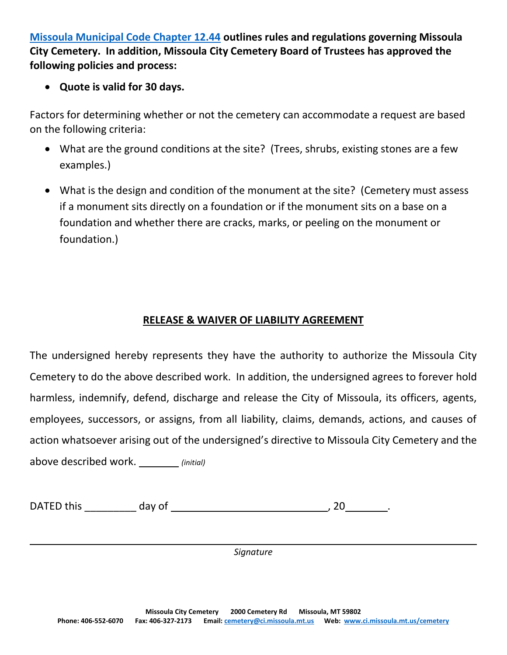**Missoula Municipal Code Chapter 12.44 outlines rules and regulations governing Missoula City Cemetery. In addition, Missoula City Cemetery Board of Trustees has approved the following policies and process:**

**Quote is valid for 30 days.**

Factors for determining whether or not the cemetery can accommodate a request are based on the following criteria:

- What are the ground conditions at the site? (Trees, shrubs, existing stones are a few examples.)
- What is the design and condition of the monument at the site? (Cemetery must assess if a monument sits directly on a foundation or if the monument sits on a base on a foundation and whether there are cracks, marks, or peeling on the monument or foundation.)

## **RELEASE & WAIVER OF LIABILITY AGREEMENT**

The undersigned hereby represents they have the authority to authorize the Missoula City Cemetery to do the above described work. In addition, the undersigned agrees to forever hold harmless, indemnify, defend, discharge and release the City of Missoula, its officers, agents, employees, successors, or assigns, from all liability, claims, demands, actions, and causes of action whatsoever arising out of the undersigned's directive to Missoula City Cemetery and the above described work. *(initial)*

| DATED this | dav of |  |  |
|------------|--------|--|--|
|------------|--------|--|--|

*Signature*